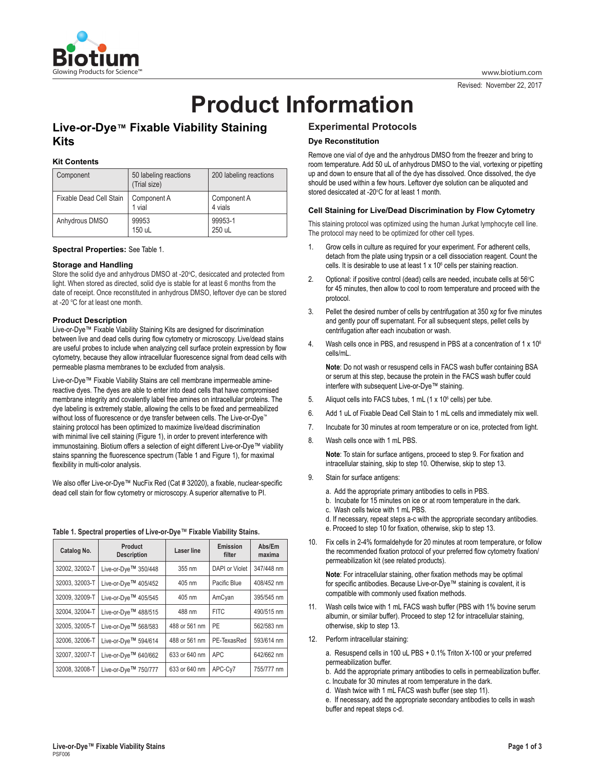

Revised: November 22, 2017

# **Product Information**

# **Live-or-Dye™ Fixable Viability Staining Kits**

# **Kit Contents**

| Component               | 50 labeling reactions<br>(Trial size) | 200 labeling reactions |
|-------------------------|---------------------------------------|------------------------|
| Fixable Dead Cell Stain | Component A<br>1 vial                 | Component A<br>4 vials |
| Anhydrous DMSO          | 99953<br>150 uL                       | 99953-1<br>250 uL      |

## **Spectral Properties:** See Table 1.

## **Storage and Handling**

Store the solid dye and anhydrous DMSO at -20°C, desiccated and protected from light. When stored as directed, solid dye is stable for at least 6 months from the date of receipt. Once reconstituted in anhydrous DMSO, leftover dye can be stored at -20 °C for at least one month.

## **Product Description**

Live-or-Dye™ Fixable Viability Staining Kits are designed for discrimination between live and dead cells during flow cytometry or microscopy. Live/dead stains are useful probes to include when analyzing cell surface protein expression by flow cytometry, because they allow intracellular fluorescence signal from dead cells with permeable plasma membranes to be excluded from analysis.

Live-or-Dye™ Fixable Viability Stains are cell membrane impermeable aminereactive dyes. The dyes are able to enter into dead cells that have compromised membrane integrity and covalently label free amines on intracellular proteins. The dye labeling is extremely stable, allowing the cells to be fixed and permeabilized without loss of fluorescence or dye transfer between cells. The Live-or-Dye™ staining protocol has been optimized to maximize live/dead discrimination with minimal live cell staining (Figure 1), in order to prevent interference with immunostaining. Biotium offers a selection of eight different Live-or-Dye™ viability stains spanning the fluorescence spectrum (Table 1 and Figure 1), for maximal flexibility in multi-color analysis.

We also offer Live-or-Dye™ NucFix Red (Cat # 32020), a fixable, nuclear-specific dead cell stain for flow cytometry or microscopy. A superior alternative to PI.

#### **Table 1. Spectral properties of Live-or-Dye**™ **Fixable Viability Stains.**

| Catalog No.    | Product<br><b>Description</b>    | <b>Laser line</b> | Emission<br>filter    | Abs/Em<br>maxima |
|----------------|----------------------------------|-------------------|-----------------------|------------------|
| 32002, 32002-T | Live-or-Dye <sup>™</sup> 350/448 | 355 nm            | <b>DAPI</b> or Violet | 347/448 nm       |
| 32003, 32003-T | Live-or-Dye <sup>™</sup> 405/452 | 405 nm            | Pacific Blue          | 408/452 nm       |
| 32009, 32009-T | Live-or-Dye <sup>™</sup> 405/545 | 405 nm            | AmCyan                | 395/545 nm       |
| 32004, 32004-T | Live-or-Dye <sup>™</sup> 488/515 | 488 nm            | <b>FITC</b>           | 490/515 nm       |
| 32005. 32005-T | Live-or-Dye <sup>™</sup> 568/583 | 488 or 561 nm     | PE                    | 562/583 nm       |
| 32006. 32006-T | Live-or-Dye <sup>™</sup> 594/614 | 488 or 561 nm     | PE-TexasRed           | 593/614 nm       |
| 32007, 32007-T | Live-or-Dye <sup>™</sup> 640/662 | 633 or 640 nm     | <b>APC</b>            | 642/662 nm       |
| 32008, 32008-T | Live-or-Dve™ 750/777             | 633 or 640 nm     | APC-Cy7               | 755/777 nm       |

# **Experimental Protocols**

# **Dye Reconstitution**

Remove one vial of dye and the anhydrous DMSO from the freezer and bring to room temperature. Add 50 uL of anhydrous DMSO to the vial, vortexing or pipetting up and down to ensure that all of the dye has dissolved. Once dissolved, the dye should be used within a few hours. Leftover dye solution can be aliquoted and stored desiccated at -20°C for at least 1 month.

#### **Cell Staining for Live/Dead Discrimination by Flow Cytometry**

This staining protocol was optimized using the human Jurkat lymphocyte cell line. The protocol may need to be optimized for other cell types.

- 1. Grow cells in culture as required for your experiment. For adherent cells, detach from the plate using trypsin or a cell dissociation reagent. Count the cells. It is desirable to use at least 1 x 10<sup>6</sup> cells per staining reaction.
- 2. Optional: if positive control (dead) cells are needed, incubate cells at 56°C for 45 minutes, then allow to cool to room temperature and proceed with the protocol.
- 3. Pellet the desired number of cells by centrifugation at 350 x*g* for five minutes and gently pour off supernatant. For all subsequent steps, pellet cells by centrifugation after each incubation or wash.
- 4. Wash cells once in PBS, and resuspend in PBS at a concentration of 1 x 10<sup>6</sup> cells/mL.

**Note**: Do not wash or resuspend cells in FACS wash buffer containing BSA or serum at this step, because the protein in the FACS wash buffer could interfere with subsequent Live-or-Dye™ staining.

- 5. Aliquot cells into FACS tubes,  $1 \text{ mL} (1 \times 10^6 \text{ cells})$  per tube.
- 6. Add 1 uL of Fixable Dead Cell Stain to 1 mL cells and immediately mix well.
- 7. Incubate for 30 minutes at room temperature or on ice, protected from light.
- 8. Wash cells once with 1 mL PBS.

**Note**: To stain for surface antigens, proceed to step 9. For fixation and intracellular staining, skip to step 10. Otherwise, skip to step 13.

- 9. Stain for surface antigens:
	- a. Add the appropriate primary antibodies to cells in PBS.
	- b. Incubate for 15 minutes on ice or at room temperature in the dark.
	- c. Wash cells twice with 1 mL PBS.
	- d. If necessary, repeat steps a-c with the appropriate secondary antibodies.
	- e. Proceed to step 10 for fixation, otherwise, skip to step 13.
- 10. Fix cells in 2-4% formaldehyde for 20 minutes at room temperature, or follow the recommended fixation protocol of your preferred flow cytometry fixation/ permeabilization kit (see related products).

**Note**: For intracellular staining, other fixation methods may be optimal for specific antibodies. Because Live-or-Dye™ staining is covalent, it is compatible with commonly used fixation methods.

- 11. Wash cells twice with 1 mL FACS wash buffer (PBS with 1% bovine serum albumin, or similar buffer). Proceed to step 12 for intracellular staining, otherwise, skip to step 13.
- 12. Perform intracellular staining:

a. Resuspend cells in 100 uL PBS + 0.1% Triton X-100 or your preferred permeabilization buffer.

b. Add the appropriate primary antibodies to cells in permeabilization buffer. c. Incubate for 30 minutes at room temperature in the dark.

d. Wash twice with 1 mL FACS wash buffer (see step 11).

e. If necessary, add the appropriate secondary antibodies to cells in wash buffer and repeat steps c-d.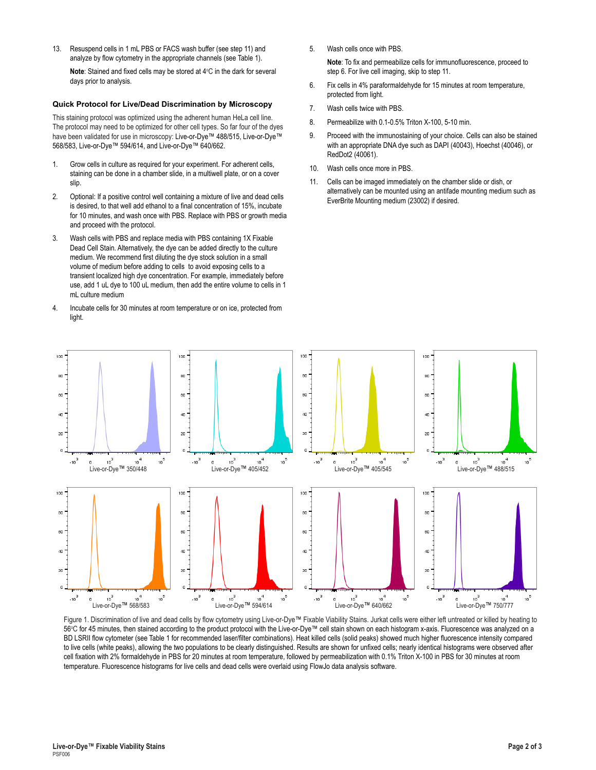13. Resuspend cells in 1 mL PBS or FACS wash buffer (see step 11) and analyze by flow cytometry in the appropriate channels (see Table 1).

**Note**: Stained and fixed cells may be stored at 4°C in the dark for several days prior to analysis.

#### **Quick Protocol for Live/Dead Discrimination by Microscopy**

This staining protocol was optimized using the adherent human HeLa cell line. The protocol may need to be optimized for other cell types. So far four of the dyes have been validated for use in microscopy: Live-or-Dye™ 488/515, Live-or-Dye™ 568/583, Live-or-Dye™ 594/614, and Live-or-Dye™ 640/662.

- 1. Grow cells in culture as required for your experiment. For adherent cells, staining can be done in a chamber slide, in a multiwell plate, or on a cover slip.
- 2. Optional: If a positive control well containing a mixture of live and dead cells is desired, to that well add ethanol to a final concentration of 15%, incubate for 10 minutes, and wash once with PBS. Replace with PBS or growth media and proceed with the protocol.
- 3. Wash cells with PBS and replace media with PBS containing 1X Fixable Dead Cell Stain. Alternatively, the dye can be added directly to the culture medium. We recommend first diluting the dye stock solution in a small volume of medium before adding to cells to avoid exposing cells to a transient localized high dye concentration. For example, immediately before use, add 1 uL dye to 100 uL medium, then add the entire volume to cells in 1 mL culture medium
- 4. Incubate cells for 30 minutes at room temperature or on ice, protected from light.

5. Wash cells once with PBS.

**Note**: To fix and permeabilize cells for immunofluorescence, proceed to step 6. For live cell imaging, skip to step 11.

- 6. Fix cells in 4% paraformaldehyde for 15 minutes at room temperature, protected from light.
- 7. Wash cells twice with PBS.
- 8. Permeabilize with 0.1-0.5% Triton X-100, 5-10 min.
- 9. Proceed with the immunostaining of your choice. Cells can also be stained with an appropriate DNA dye such as DAPI (40043), Hoechst (40046), or RedDot2 (40061).
- 10. Wash cells once more in PBS.
- 11. Cells can be imaged immediately on the chamber slide or dish, or alternatively can be mounted using an antifade mounting medium such as EverBrite Mounting medium (23002) if desired.



Figure 1. Discrimination of live and dead cells by flow cytometry using Live-or-Dye™ Fixable Viability Stains. Jurkat cells were either left untreated or killed by heating to 56℃ for 45 minutes, then stained according to the product protocol with the Live-or-Dye™ cell stain shown on each histogram x-axis. Fluorescence was analyzed on a BD LSRII flow cytometer (see Table 1 for recommended laser/filter combinations). Heat killed cells (solid peaks) showed much higher fluorescence intensity compared to live cells (white peaks), allowing the two populations to be clearly distinguished. Results are shown for unfixed cells; nearly identical histograms were observed after cell fixation with 2% formaldehyde in PBS for 20 minutes at room temperature, followed by permeabilization with 0.1% Triton X-100 in PBS for 30 minutes at room temperature. Fluorescence histograms for live cells and dead cells were overlaid using FlowJo data analysis software.